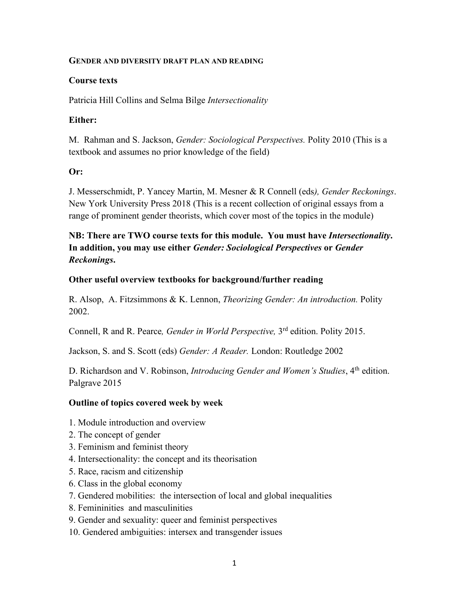### **GENDER AND DIVERSITY DRAFT PLAN AND READING**

### **Course texts**

Patricia Hill Collins and Selma Bilge *Intersectionality*

### **Either:**

M. Rahman and S. Jackson, *Gender: Sociological Perspectives.* Polity 2010 (This is a textbook and assumes no prior knowledge of the field)

### **Or:**

J. Messerschmidt, P. Yancey Martin, M. Mesner & R Connell (eds*), Gender Reckonings*. New York University Press 2018 (This is a recent collection of original essays from a range of prominent gender theorists, which cover most of the topics in the module)

# **NB: There are TWO course texts for this module. You must have** *Intersectionality***. In addition, you may use either** *Gender: Sociological Perspectives* **or** *Gender Reckonings***.**

### **Other useful overview textbooks for background/further reading**

R. Alsop, A. Fitzsimmons & K. Lennon, *Theorizing Gender: An introduction.* Polity 2002.

Connell, R and R. Pearce*, Gender in World Perspective,* 3rd edition. Polity 2015.

Jackson, S. and S. Scott (eds) *Gender: A Reader.* London: Routledge 2002

D. Richardson and V. Robinson, *Introducing Gender and Women's Studies*, 4<sup>th</sup> edition. Palgrave 2015

## **Outline of topics covered week by week**

- 1. Module introduction and overview
- 2. The concept of gender
- 3. Feminism and feminist theory
- 4. Intersectionality: the concept and its theorisation
- 5. Race, racism and citizenship
- 6. Class in the global economy
- 7. Gendered mobilities: the intersection of local and global inequalities
- 8. Femininities and masculinities
- 9. Gender and sexuality: queer and feminist perspectives
- 10. Gendered ambiguities: intersex and transgender issues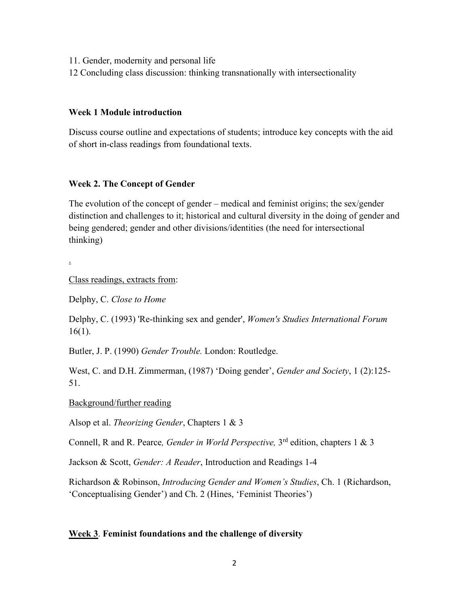- 11. Gender, modernity and personal life
- 12 Concluding class discussion: thinking transnationally with intersectionality

### **Week 1 Module introduction**

Discuss course outline and expectations of students; introduce key concepts with the aid of short in-class readings from foundational texts.

### **Week 2. The Concept of Gender**

The evolution of the concept of gender – medical and feminist origins; the sex/gender distinction and challenges to it; historical and cultural diversity in the doing of gender and being gendered; gender and other divisions/identities (the need for intersectional thinking)

.

Class readings, extracts from:

Delphy, C. *Close to Home*

Delphy, C. (1993) 'Re-thinking sex and gender', *Women's Studies International Forum* 16(1).

Butler, J. P. (1990) *Gender Trouble.* London: Routledge.

West, C. and D.H. Zimmerman, (1987) 'Doing gender', *Gender and Society*, 1 (2):125- 51.

Background/further reading

Alsop et al. *Theorizing Gender*, Chapters 1 & 3

Connell, R and R. Pearce*, Gender in World Perspective,* 3rd edition, chapters 1 & 3

Jackson & Scott, *Gender: A Reader*, Introduction and Readings 1-4

Richardson & Robinson, *Introducing Gender and Women's Studies*, Ch. 1 (Richardson, 'Conceptualising Gender') and Ch. 2 (Hines, 'Feminist Theories')

#### **Week 3**. **Feminist foundations and the challenge of diversity**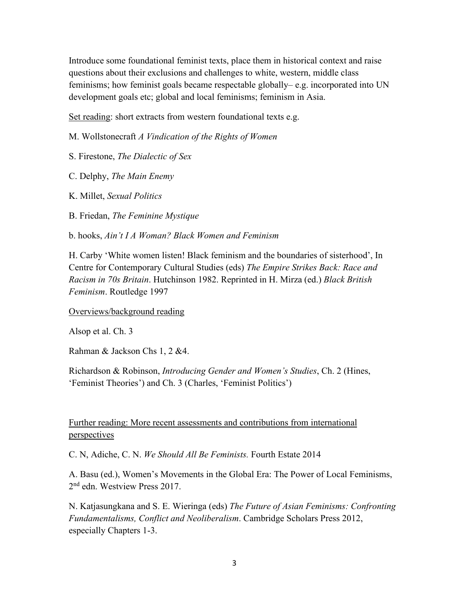Introduce some foundational feminist texts, place them in historical context and raise questions about their exclusions and challenges to white, western, middle class feminisms; how feminist goals became respectable globally– e.g. incorporated into UN development goals etc; global and local feminisms; feminism in Asia.

Set reading: short extracts from western foundational texts e.g.

M. Wollstonecraft *A Vindication of the Rights of Women*

S. Firestone, *The Dialectic of Sex*

C. Delphy, *The Main Enemy*

K. Millet, *Sexual Politics*

B. Friedan, *The Feminine Mystique*

b. hooks, *Ain't I A Woman? Black Women and Feminism*

H. Carby 'White women listen! Black feminism and the boundaries of sisterhood', In Centre for Contemporary Cultural Studies (eds) *The Empire Strikes Back: Race and Racism in 70s Britain*. Hutchinson 1982. Reprinted in H. Mirza (ed.) *Black British Feminism*. Routledge 1997

Overviews/background reading

Alsop et al. Ch. 3

Rahman & Jackson Chs 1, 2 &4.

Richardson & Robinson, *Introducing Gender and Women's Studies*, Ch. 2 (Hines, 'Feminist Theories') and Ch. 3 (Charles, 'Feminist Politics')

## Further reading: More recent assessments and contributions from international perspectives

C. N, Adiche, C. N. *We Should All Be Feminists.* Fourth Estate 2014

A. Basu (ed.), Women's Movements in the Global Era: The Power of Local Feminisms, 2<sup>nd</sup> edn. Westview Press 2017.

N. Katjasungkana and S. E. Wieringa (eds) *The Future of Asian Feminisms: Confronting Fundamentalisms, Conflict and Neoliberalism*. Cambridge Scholars Press 2012, especially Chapters 1-3.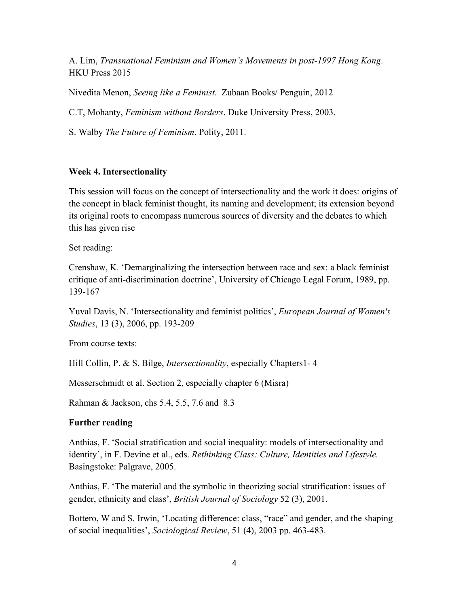A. Lim, *Transnational Feminism and Women's Movements in post-1997 Hong Kong*. HKU Press 2015

Nivedita Menon, *Seeing like a Feminist.* Zubaan Books/ Penguin, 2012

C.T, Mohanty, *Feminism without Borders*. Duke University Press, 2003.

S. Walby *The Future of Feminism*. Polity, 2011.

### **Week 4. Intersectionality**

This session will focus on the concept of intersectionality and the work it does: origins of the concept in black feminist thought, its naming and development; its extension beyond its original roots to encompass numerous sources of diversity and the debates to which this has given rise

### Set reading:

Crenshaw, K. 'Demarginalizing the intersection between race and sex: a black feminist critique of anti-discrimination doctrine', University of Chicago Legal Forum, 1989, pp. 139-167

Yuval Davis, N. 'Intersectionality and feminist politics', *European Journal of Women's Studies*, 13 (3), 2006, pp. 193-209

From course texts:

Hill Collin, P. & S. Bilge, *Intersectionality*, especially Chapters1- 4

Messerschmidt et al. Section 2, especially chapter 6 (Misra)

Rahman & Jackson, chs 5.4, 5.5, 7.6 and 8.3

## **Further reading**

Anthias, F. 'Social stratification and social inequality: models of intersectionality and identity', in F. Devine et al., eds. *Rethinking Class: Culture, Identities and Lifestyle.* Basingstoke: Palgrave, 2005.

Anthias, F. 'The material and the symbolic in theorizing social stratification: issues of gender, ethnicity and class', *British Journal of Sociology* 52 (3), 2001.

Bottero, W and S. Irwin, 'Locating difference: class, "race" and gender, and the shaping of social inequalities', *Sociological Review*, 51 (4), 2003 pp. 463-483.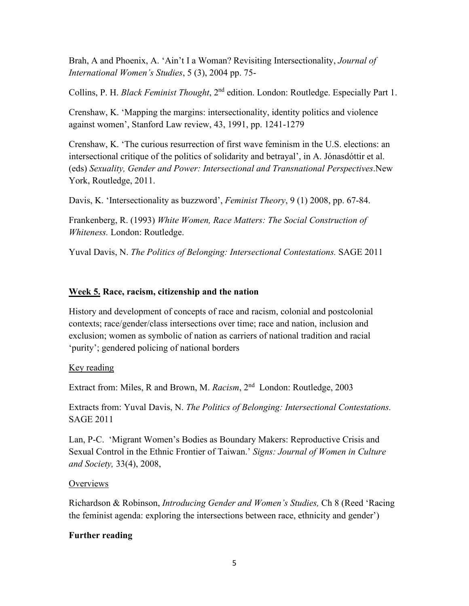Brah, A and Phoenix, A. 'Ain't I a Woman? Revisiting Intersectionality, *Journal of International Women's Studies*, 5 (3), 2004 pp. 75-

Collins, P. H. *Black Feminist Thought*, 2nd edition. London: Routledge. Especially Part 1.

Crenshaw, K. 'Mapping the margins: intersectionality, identity politics and violence against women', Stanford Law review, 43, 1991, pp. 1241-1279

Crenshaw, K. 'The curious resurrection of first wave feminism in the U.S. elections: an intersectional critique of the politics of solidarity and betrayal', in A. Jónasdóttir et al. (eds) *Sexuality, Gender and Power: Intersectional and Transnational Perspectives*.New York, Routledge, 2011.

Davis, K. 'Intersectionality as buzzword', *Feminist Theory*, 9 (1) 2008, pp. 67-84.

Frankenberg, R. (1993) *White Women, Race Matters: The Social Construction of Whiteness.* London: Routledge.

Yuval Davis, N. *The Politics of Belonging: Intersectional Contestations.* SAGE 2011

# **Week 5. Race, racism, citizenship and the nation**

History and development of concepts of race and racism, colonial and postcolonial contexts; race/gender/class intersections over time; race and nation, inclusion and exclusion; women as symbolic of nation as carriers of national tradition and racial 'purity'; gendered policing of national borders

## Key reading

Extract from: Miles, R and Brown, M. *Racism*, 2nd London: Routledge, 2003

Extracts from: Yuval Davis, N. *The Politics of Belonging: Intersectional Contestations.*  SAGE 2011

Lan, P-C. 'Migrant Women's Bodies as Boundary Makers: Reproductive Crisis and Sexual Control in the Ethnic Frontier of Taiwan.' *Signs: Journal of Women in Culture and Society,* 33(4), 2008,

## **Overviews**

Richardson & Robinson, *Introducing Gender and Women's Studies,* Ch 8 (Reed 'Racing the feminist agenda: exploring the intersections between race, ethnicity and gender')

# **Further reading**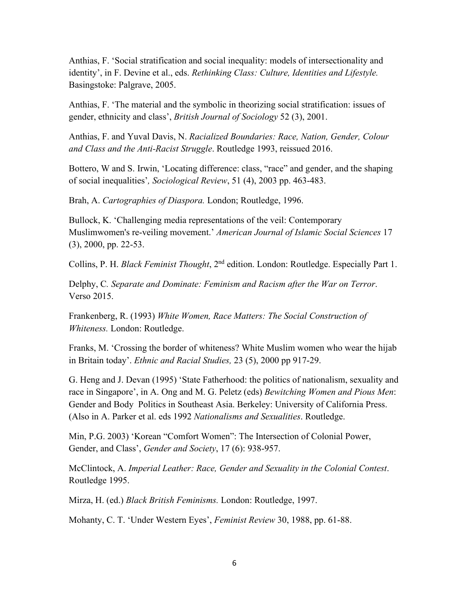Anthias, F. 'Social stratification and social inequality: models of intersectionality and identity', in F. Devine et al., eds. *Rethinking Class: Culture, Identities and Lifestyle.* Basingstoke: Palgrave, 2005.

Anthias, F. 'The material and the symbolic in theorizing social stratification: issues of gender, ethnicity and class', *British Journal of Sociology* 52 (3), 2001.

Anthias, F. and Yuval Davis, N. *Racialized Boundaries: Race, Nation, Gender, Colour and Class and the Anti-Racist Struggle*. Routledge 1993, reissued 2016.

Bottero, W and S. Irwin, 'Locating difference: class, "race" and gender, and the shaping of social inequalities'*, Sociological Review*, 51 (4), 2003 pp. 463-483.

Brah, A. *Cartographies of Diaspora.* London; Routledge, 1996.

Bullock, K. 'Challenging media representations of the veil: Contemporary Muslimwomen's re-veiling movement.' *American Journal of Islamic Social Sciences* 17 (3), 2000, pp. 22-53.

Collins, P. H. *Black Feminist Thought*, 2nd edition. London: Routledge. Especially Part 1.

Delphy, C*. Separate and Dominate: Feminism and Racism after the War on Terror*. Verso 2015.

Frankenberg, R. (1993) *White Women, Race Matters: The Social Construction of Whiteness.* London: Routledge.

Franks, M. 'Crossing the border of whiteness? White Muslim women who wear the hijab in Britain today'. *Ethnic and Racial Studies,* 23 (5), 2000 pp 917-29.

G. Heng and J. Devan (1995) 'State Fatherhood: the politics of nationalism, sexuality and race in Singapore', in A. Ong and M. G. Peletz (eds) *Bewitching Women and Pious Men*: Gender and Body Politics in Southeast Asia. Berkeley: University of California Press. (Also in A. Parker et al. eds 1992 *Nationalisms and Sexualities*. Routledge.

Min, P.G. 2003) 'Korean "Comfort Women": The Intersection of Colonial Power, Gender, and Class', *Gender and Society*, 17 (6): 938-957.

McClintock, A. *Imperial Leather: Race, Gender and Sexuality in the Colonial Contest*. Routledge 1995.

Mirza, H. (ed.) *Black British Feminisms.* London: Routledge, 1997.

Mohanty, C. T. 'Under Western Eyes', *Feminist Review* 30, 1988, pp. 61-88.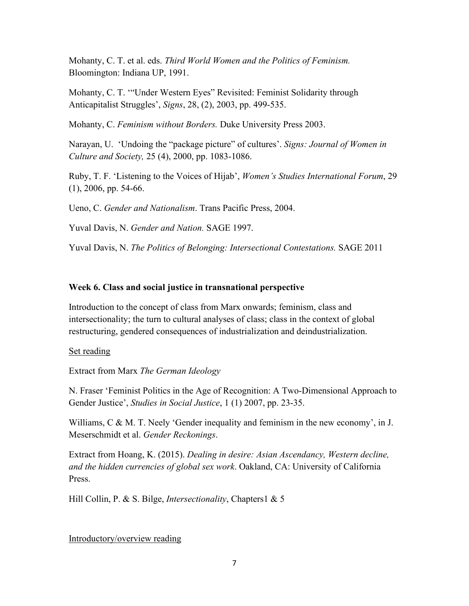Mohanty, C. T. et al. eds. *Third World Women and the Politics of Feminism.* Bloomington: Indiana UP, 1991.

Mohanty, C. T. '"Under Western Eyes" Revisited: Feminist Solidarity through Anticapitalist Struggles', *Signs*, 28, (2), 2003, pp. 499-535.

Mohanty, C. *Feminism without Borders.* Duke University Press 2003.

Narayan, U. 'Undoing the "package picture" of cultures'. *Signs: Journal of Women in Culture and Society,* 25 (4), 2000, pp. 1083-1086.

Ruby, T. F. 'Listening to the Voices of Hijab', *Women's Studies International Forum*, 29 (1), 2006, pp. 54-66.

Ueno, C. *Gender and Nationalism*. Trans Pacific Press, 2004.

Yuval Davis, N. *Gender and Nation.* SAGE 1997.

Yuval Davis, N. *The Politics of Belonging: Intersectional Contestations.* SAGE 2011

### **Week 6. Class and social justice in transnational perspective**

Introduction to the concept of class from Marx onwards; feminism, class and intersectionality; the turn to cultural analyses of class; class in the context of global restructuring, gendered consequences of industrialization and deindustrialization.

Set reading

Extract from Marx *The German Ideology*

N. Fraser 'Feminist Politics in the Age of Recognition: A Two-Dimensional Approach to Gender Justice', *Studies in Social Justice*, 1 (1) 2007, pp. 23-35.

Williams, C & M. T. Neely 'Gender inequality and feminism in the new economy', in J. Meserschmidt et al. *Gender Reckonings*.

Extract from Hoang, K. (2015). *Dealing in desire: Asian Ascendancy, Western decline, and the hidden currencies of global sex work*. Oakland, CA: University of California Press.

Hill Collin, P. & S. Bilge, *Intersectionality*, Chapters1 & 5

Introductory/overview reading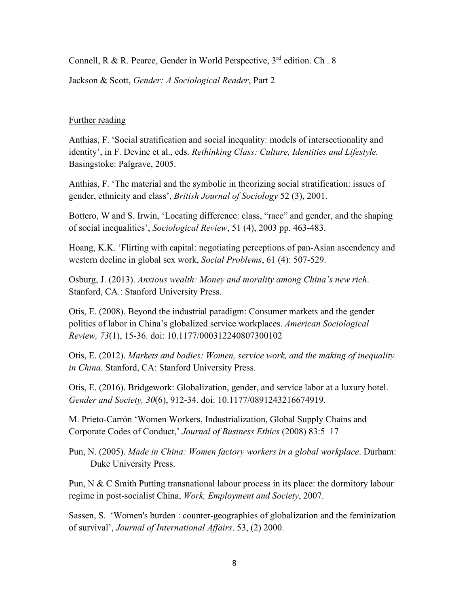Connell, R & R. Pearce, Gender in World Perspective, 3<sup>rd</sup> edition. Ch. 8

Jackson & Scott, *Gender: A Sociological Reader*, Part 2

### Further reading

Anthias, F. 'Social stratification and social inequality: models of intersectionality and identity', in F. Devine et al., eds. *Rethinking Class: Culture, Identities and Lifestyle.* Basingstoke: Palgrave, 2005.

Anthias, F. 'The material and the symbolic in theorizing social stratification: issues of gender, ethnicity and class', *British Journal of Sociology* 52 (3), 2001.

Bottero, W and S. Irwin, 'Locating difference: class, "race" and gender, and the shaping of social inequalities', *Sociological Review*, 51 (4), 2003 pp. 463-483.

Hoang, K.K. 'Flirting with capital: negotiating perceptions of pan-Asian ascendency and western decline in global sex work, *Social Problems*, 61 (4): 507-529.

Osburg, J. (2013). *Anxious wealth: Money and morality among China's new rich*. Stanford, CA.: Stanford University Press.

Otis, E. (2008). Beyond the industrial paradigm: Consumer markets and the gender politics of labor in China's globalized service workplaces. *American Sociological Review, 73*(1), 15-36. doi: 10.1177/000312240807300102

Otis, E. (2012). *Markets and bodies: Women, service work, and the making of inequality in China.* Stanford, CA: Stanford University Press.

Otis, E. (2016). Bridgework: Globalization, gender, and service labor at a luxury hotel. *Gender and Society, 30*(6), 912-34. doi: 10.1177/0891243216674919.

M. Prieto-Carrón 'Women Workers, Industrialization, Global Supply Chains and Corporate Codes of Conduct,' *Journal of Business Ethics* (2008) 83:5–17

Pun, N. (2005). *Made in China: Women factory workers in a global workplace*. Durham: Duke University Press.

Pun, N & C Smith Putting transnational labour process in its place: the dormitory labour regime in post-socialist China, *Work, Employment and Society*, 2007.

Sassen, S. 'Women's burden : counter-geographies of globalization and the feminization of survival', *Journal of International Affairs*. 53, (2) 2000.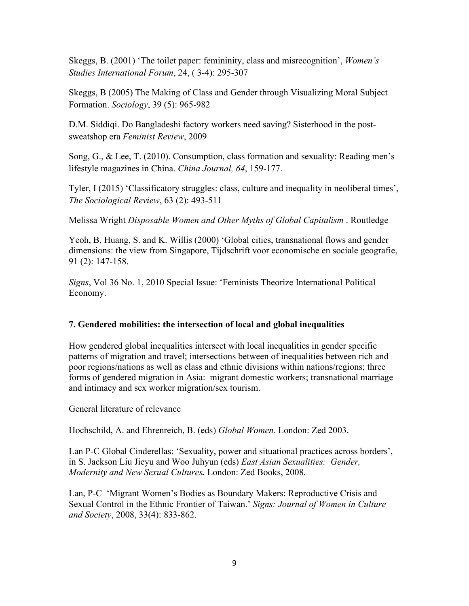Skeggs, B. (2001) 'The toilet paper: femininity, class and misrecognition', *Women's Studies International Forum*, 24, ( 3-4): 295-307

Skeggs, B (2005) The Making of Class and Gender through Visualizing Moral Subject Formation. *Sociology*, 39 (5): 965-982

D.M. Siddiqi. Do Bangladeshi factory workers need saving? Sisterhood in the postsweatshop era *Feminist Review*, 2009

Song, G., & Lee, T. (2010). Consumption, class formation and sexuality: Reading men's lifestyle magazines in China. *China Journal, 64*, 159-177.

Tyler, I (2015) 'Classificatory struggles: class, culture and inequality in neoliberal times', *The Sociological Review*, 63 (2): 493-511

Melissa Wright *Disposable Women and Other Myths of Global Capitalism* . Routledge

Yeoh, B, Huang, S. and K. Willis (2000) 'Global cities, transnational flows and gender dimensions: the view from Singapore, Tijdschrift voor economische en sociale geografie, 91 (2): 147-158.

*Signs*, Vol 36 No. 1, 2010 Special Issue: 'Feminists Theorize International Political Economy.

# **7. Gendered mobilities: the intersection of local and global inequalities**

How gendered global inequalities intersect with local inequalities in gender specific patterns of migration and travel; intersections between of inequalities between rich and poor regions/nations as well as class and ethnic divisions within nations/regions; three forms of gendered migration in Asia: migrant domestic workers; transnational marriage and intimacy and sex worker migration/sex tourism.

## General literature of relevance

Hochschild, A. and Ehrenreich, B. (eds) *Global Women*. London: Zed 2003.

Lan P-C Global Cinderellas: 'Sexuality, power and situational practices across borders', in S. Jackson Liu Jieyu and Woo Juhyun (eds) *East Asian Sexualities: Gender, Modernity and New Sexual Cultures.* London: Zed Books, 2008.

Lan, P-C 'Migrant Women's Bodies as Boundary Makers: Reproductive Crisis and Sexual Control in the Ethnic Frontier of Taiwan.' *Signs: Journal of Women in Culture and Society*, 2008, 33(4): 833-862.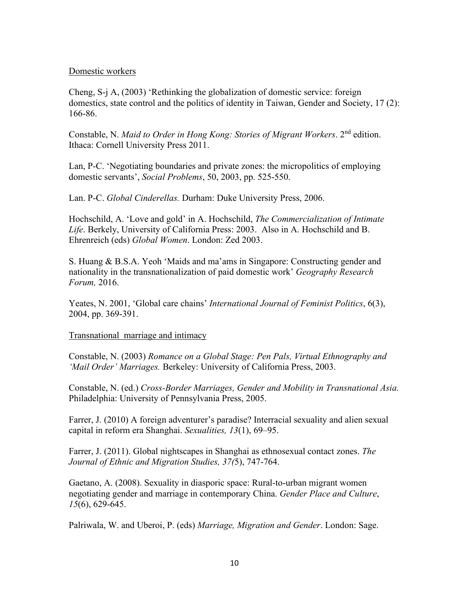#### Domestic workers

Cheng, S-j A, (2003) 'Rethinking the globalization of domestic service: foreign domestics, state control and the politics of identity in Taiwan, Gender and Society, 17 (2): 166-86.

Constable, N. *Maid to Order in Hong Kong: Stories of Migrant Workers*. 2nd edition. Ithaca: Cornell University Press 2011.

Lan, P-C. 'Negotiating boundaries and private zones: the micropolitics of employing domestic servants', *Social Problems*, 50, 2003, pp. 525-550.

Lan. P-C. *Global Cinderellas.* Durham: Duke University Press, 2006.

Hochschild, A. 'Love and gold' in A. Hochschild, *The Commercialization of Intimate Life*. Berkely, University of California Press: 2003. Also in A. Hochschild and B. Ehrenreich (eds) *Global Women*. London: Zed 2003.

S. Huang & B.S.A. Yeoh 'Maids and ma'ams in Singapore: Constructing gender and nationality in the transnationalization of paid domestic work' *Geography Research Forum,* 2016.

Yeates, N. 2001, 'Global care chains' *International Journal of Feminist Politics*, 6(3), 2004, pp. 369-391.

### Transnational marriage and intimacy

Constable, N. (2003) *Romance on a Global Stage: Pen Pals, Virtual Ethnography and 'Mail Order' Marriages.* Berkeley: University of California Press, 2003.

Constable, N. (ed.) *Cross-Border Marriages, Gender and Mobility in Transnational Asia.* Philadelphia: University of Pennsylvania Press, 2005.

Farrer, J. (2010) A foreign adventurer's paradise? Interracial sexuality and alien sexual capital in reform era Shanghai. *Sexualities, 13*(1), 69–95.

Farrer, J. (2011). Global nightscapes in Shanghai as ethnosexual contact zones. *The Journal of Ethnic and Migration Studies, 37(*5), 747-764.

Gaetano, A. (2008). Sexuality in diasporic space: Rural-to-urban migrant women negotiating gender and marriage in contemporary China. *Gender Place and Culture*, *15*(6), 629-645.

Palriwala, W. and Uberoi, P. (eds) *Marriage, Migration and Gender*. London: Sage.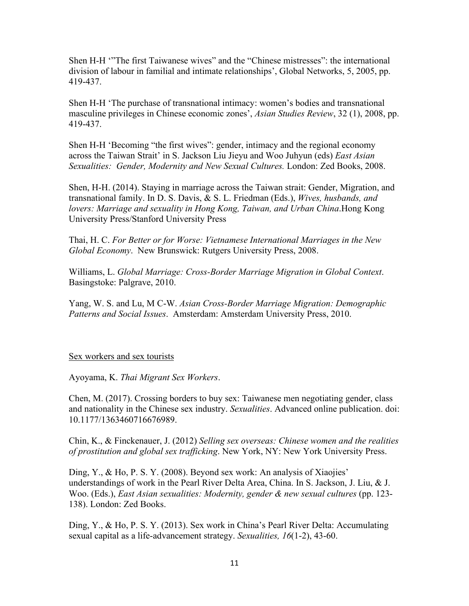Shen H-H '"The first Taiwanese wives" and the "Chinese mistresses": the international division of labour in familial and intimate relationships', Global Networks, 5, 2005, pp. 419-437.

Shen H-H 'The purchase of transnational intimacy: women's bodies and transnational masculine privileges in Chinese economic zones', *Asian Studies Review*, 32 (1), 2008, pp. 419-437.

Shen H-H 'Becoming "the first wives": gender, intimacy and the regional economy across the Taiwan Strait' in S. Jackson Liu Jieyu and Woo Juhyun (eds) *East Asian Sexualities: Gender, Modernity and New Sexual Cultures.* London: Zed Books, 2008.

Shen, H-H. (2014). Staying in marriage across the Taiwan strait: Gender, Migration, and transnational family. In D. S. Davis, & S. L. Friedman (Eds.), *Wives, husbands, and lovers: Marriage and sexuality in Hong Kong, Taiwan, and Urban China*.Hong Kong University Press/Stanford University Press

Thai, H. C. *For Better or for Worse: Vietnamese International Marriages in the New Global Economy*. New Brunswick: Rutgers University Press, 2008.

Williams, L. *Global Marriage: Cross-Border Marriage Migration in Global Context*. Basingstoke: Palgrave, 2010.

Yang, W. S. and Lu, M C-W. *Asian Cross-Border Marriage Migration: Demographic Patterns and Social Issues*. Amsterdam: Amsterdam University Press, 2010.

### Sex workers and sex tourists

Ayoyama, K. *Thai Migrant Sex Workers*.

Chen, M. (2017). Crossing borders to buy sex: Taiwanese men negotiating gender, class and nationality in the Chinese sex industry. *Sexualities*. Advanced online publication. doi: 10.1177/1363460716676989.

Chin, K., & Finckenauer, J. (2012) *Selling sex overseas: Chinese women and the realities of prostitution and global sex trafficking*. New York, NY: New York University Press.

Ding, Y., & Ho, P. S. Y. (2008). Beyond sex work: An analysis of Xiaojies' understandings of work in the Pearl River Delta Area, China. In S. Jackson, J. Liu, & J. Woo. (Eds.), *East Asian sexualities: Modernity, gender & new sexual cultures* (pp. 123- 138). London: Zed Books.

Ding, Y., & Ho, P. S. Y. (2013). Sex work in China's Pearl River Delta: Accumulating sexual capital as a life-advancement strategy. *Sexualities, 16*(1-2), 43-60.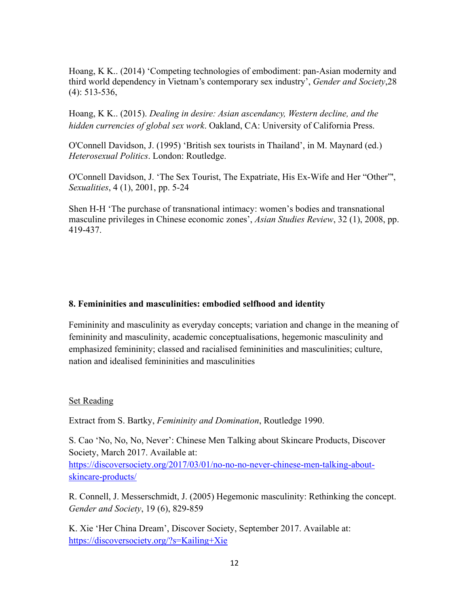Hoang, K K.. (2014) 'Competing technologies of embodiment: pan-Asian modernity and third world dependency in Vietnam's contemporary sex industry', *Gender and Society*,28 (4): 513-536,

Hoang, K K.. (2015). *Dealing in desire: Asian ascendancy, Western decline, and the hidden currencies of global sex work*. Oakland, CA: University of California Press.

O'Connell Davidson, J. (1995) 'British sex tourists in Thailand', in M. Maynard (ed.) *Heterosexual Politics*. London: Routledge.

O'Connell Davidson, J. 'The Sex Tourist, The Expatriate, His Ex-Wife and Her "Other"', *Sexualities*, 4 (1), 2001, pp. 5-24

Shen H-H 'The purchase of transnational intimacy: women's bodies and transnational masculine privileges in Chinese economic zones', *Asian Studies Review*, 32 (1), 2008, pp. 419-437.

### **8. Femininities and masculinities: embodied selfhood and identity**

Femininity and masculinity as everyday concepts; variation and change in the meaning of femininity and masculinity, academic conceptualisations, hegemonic masculinity and emphasized femininity; classed and racialised femininities and masculinities; culture, nation and idealised femininities and masculinities

#### Set Reading

Extract from S. Bartky, *Femininity and Domination*, Routledge 1990.

S. Cao 'No, No, No, Never': Chinese Men Talking about Skincare Products, Discover Society, March 2017. Available at: [https://discoversociety.org/2017/03/01/no-no-no-never-chinese-men-talking-about](https://discoversociety.org/2017/03/01/no-no-no-never-chinese-men-talking-about-skincare-products/)[skincare-products/](https://discoversociety.org/2017/03/01/no-no-no-never-chinese-men-talking-about-skincare-products/)

R. Connell, J. Messerschmidt, J. (2005) Hegemonic masculinity: Rethinking the concept. *Gender and Society*, 19 (6), 829-859

K. Xie 'Her China Dream', Discover Society, September 2017. Available at: <https://discoversociety.org/?s=Kailing+Xie>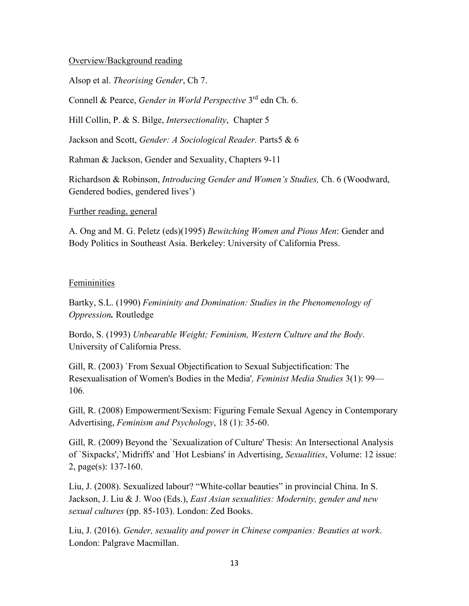### Overview/Background reading

Alsop et al. *Theorising Gender*, Ch 7.

Connell & Pearce, *Gender in World Perspective* 3rd edn Ch. 6.

Hill Collin, P. & S. Bilge, *Intersectionality*, Chapter 5

Jackson and Scott, *Gender: A Sociological Reader.* Parts5 & 6

Rahman & Jackson, Gender and Sexuality, Chapters 9-11

Richardson & Robinson, *Introducing Gender and Women's Studies,* Ch. 6 (Woodward, Gendered bodies, gendered lives')

Further reading, general

A. Ong and M. G. Peletz (eds)(1995) *Bewitching Women and Pious Men*: Gender and Body Politics in Southeast Asia. Berkeley: University of California Press.

### Femininities

Bartky, S.L. (1990) *Femininity and Domination: Studies in the Phenomenology of Oppression.* Routledge

Bordo, S. (1993) *Unbearable Weight; Feminism, Western Culture and the Body*. University of California Press.

Gill, R. (2003) `From Sexual Objectification to Sexual Subjectification: The Resexualisation of Women's Bodies in the Media'*, Feminist Media Studies* 3(1): 99— 106*.*

Gill, R. (2008) Empowerment/Sexism: Figuring Female Sexual Agency in Contemporary Advertising, *Feminism and Psychology*, 18 (1): 35-60.

Gill, R. (2009) Beyond the `Sexualization of Culture' Thesis: An Intersectional Analysis of `Sixpacks',`Midriffs' and `Hot Lesbians' in Advertising, *Sexualities*, Volume: 12 issue: 2, page(s): 137-160.

Liu, J. (2008). Sexualized labour? "White-collar beauties" in provincial China. In S. Jackson, J. Liu & J. Woo (Eds.), *East Asian sexualities: Modernity, gender and new sexual cultures* (pp. 85-103). London: Zed Books.

Liu, J. (2016). *Gender, sexuality and power in Chinese companies: Beauties at work*. London: Palgrave Macmillan.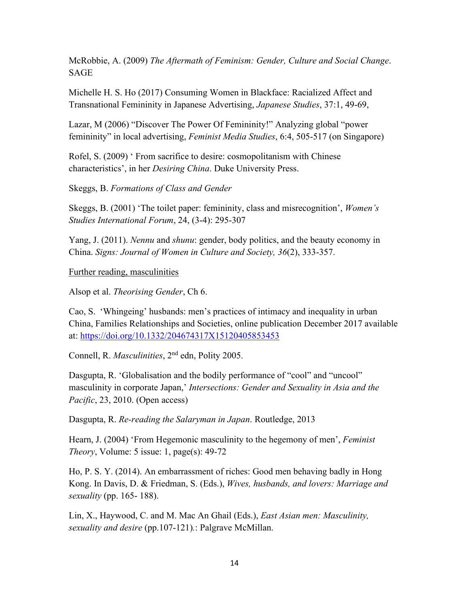McRobbie, A. (2009) *The Aftermath of Feminism: Gender, Culture and Social Change*. SAGE

Michelle H. S. Ho (2017) Consuming Women in Blackface: Racialized Affect and Transnational Femininity in Japanese Advertising, *Japanese Studies*, 37:1, 49-69,

Lazar, M (2006) "Discover The Power Of Femininity!" Analyzing global "power femininity" in local advertising, *Feminist Media Studies*, 6:4, 505-517 (on Singapore)

Rofel, S. (2009) ' From sacrifice to desire: cosmopolitanism with Chinese characteristics', in her *Desiring China*. Duke University Press.

Skeggs, B. *Formations of Class and Gender*

Skeggs, B. (2001) 'The toilet paper: femininity, class and misrecognition', *Women's Studies International Forum*, 24, (3-4): 295-307

Yang, J. (2011). *Nennu* and *shunu*: gender, body politics, and the beauty economy in China. *Signs: Journal of Women in Culture and Society, 36*(2), 333-357.

Further reading, masculinities

Alsop et al. *Theorising Gender*, Ch 6.

Cao, S. 'Whingeing' husbands: men's practices of intimacy and inequality in urban China, Families Relationships and Societies, online publication December 2017 available at:<https://doi.org/10.1332/204674317X15120405853453>

Connell, R. *Masculinities*, 2nd edn, Polity 2005.

Dasgupta, R. 'Globalisation and the bodily performance of "cool" and "uncool" masculinity in corporate Japan,' *Intersections: Gender and Sexuality in Asia and the Pacific*, 23, 2010. (Open access)

Dasgupta, R. *Re-reading the Salaryman in Japan*. Routledge, 2013

Hearn, J. (2004) 'From Hegemonic masculinity to the hegemony of men', *Feminist Theory*, Volume: 5 issue: 1, page(s): 49-72

Ho, P. S. Y. (2014). An embarrassment of riches: Good men behaving badly in Hong Kong. In Davis, D. & Friedman, S. (Eds.), *Wives, husbands, and lovers: Marriage and sexuality* (pp. 165- 188).

Lin, X., Haywood, C. and M. Mac An Ghail (Eds.), *East Asian men: Masculinity, sexuality and desire* (pp.107-121)*.*: Palgrave McMillan.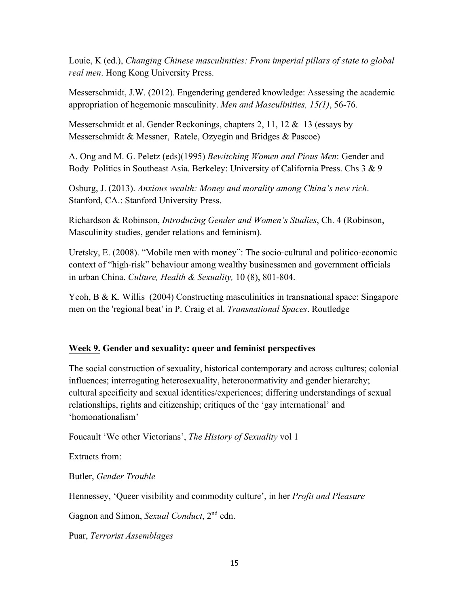Louie, K (ed.), *Changing Chinese masculinities: From imperial pillars of state to global real men*. Hong Kong University Press.

Messerschmidt, J.W. (2012). Engendering gendered knowledge: Assessing the academic appropriation of hegemonic masculinity. *Men and Masculinities, 15(1)*, 56-76.

Messerschmidt et al. Gender Reckonings, chapters 2, 11, 12 & 13 (essays by Messerschmidt & Messner, Ratele, Ozyegin and Bridges & Pascoe)

A. Ong and M. G. Peletz (eds)(1995) *Bewitching Women and Pious Men*: Gender and Body Politics in Southeast Asia. Berkeley: University of California Press. Chs 3 & 9

Osburg, J. (2013). *Anxious wealth: Money and morality among China's new rich*. Stanford, CA.: Stanford University Press.

Richardson & Robinson, *Introducing Gender and Women's Studies*, Ch. 4 (Robinson, Masculinity studies, gender relations and feminism).

Uretsky, E. (2008). "Mobile men with money": The socio‐cultural and politico‐economic context of "high-risk" behaviour among wealthy businessmen and government officials in urban China. *Culture, Health & Sexuality,* 10 (8), 801-804.

Yeoh, B & K. Willis (2004) Constructing masculinities in transnational space: Singapore men on the 'regional beat' in P. Craig et al. *Transnational Spaces*. Routledge

## **Week 9. Gender and sexuality: queer and feminist perspectives**

The social construction of sexuality, historical contemporary and across cultures; colonial influences; interrogating heterosexuality, heteronormativity and gender hierarchy; cultural specificity and sexual identities/experiences; differing understandings of sexual relationships, rights and citizenship; critiques of the 'gay international' and 'homonationalism'

Foucault 'We other Victorians', *The History of Sexuality* vol 1

Extracts from:

Butler, *Gender Trouble*

Hennessey, 'Queer visibility and commodity culture', in her *Profit and Pleasure*

Gagnon and Simon, *Sexual Conduct*, 2nd edn.

Puar, *Terrorist Assemblages*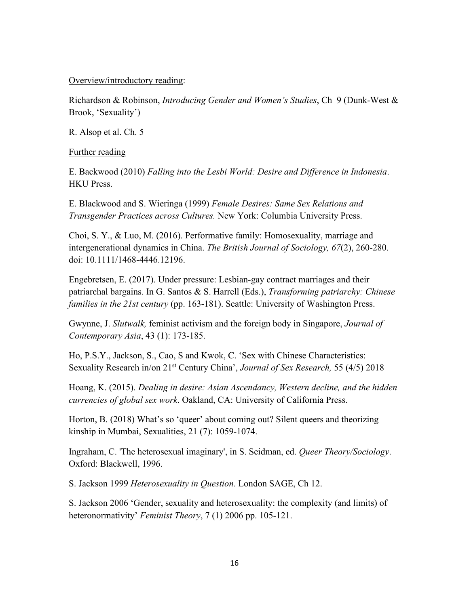### Overview/introductory reading:

Richardson & Robinson, *Introducing Gender and Women's Studies*, Ch 9 (Dunk-West & Brook, 'Sexuality')

R. Alsop et al. Ch. 5

Further reading

E. Backwood (2010) *Falling into the Lesbi World: Desire and Difference in Indonesia*. HKU Press.

E. Blackwood and S. Wieringa (1999) *Female Desires: Same Sex Relations and Transgender Practices across Cultures.* New York: Columbia University Press.

Choi, S. Y., & Luo, M. (2016). Performative family: Homosexuality, marriage and intergenerational dynamics in China. *The British Journal of Sociology, 67*(2), 260-280. doi: 10.1111/1468-4446.12196.

Engebretsen, E. (2017). Under pressure: Lesbian-gay contract marriages and their patriarchal bargains. In G. Santos & S. Harrell (Eds.), *Transforming patriarchy: Chinese families in the 21st century* (pp. 163-181). Seattle: University of Washington Press.

Gwynne, J. *Slutwalk,* feminist activism and the foreign body in Singapore, *Journal of Contemporary Asia*, 43 (1): 173-185.

Ho, P.S.Y., Jackson, S., Cao, S and Kwok, C. 'Sex with Chinese Characteristics: Sexuality Research in/on 21st Century China', *Journal of Sex Research,* 55 (4/5) 2018

Hoang, K. (2015). *Dealing in desire: Asian Ascendancy, Western decline, and the hidden currencies of global sex work*. Oakland, CA: University of California Press.

Horton, B. (2018) What's so 'queer' about coming out? Silent queers and theorizing kinship in Mumbai, Sexualities, 21 (7): 1059-1074.

Ingraham, C. 'The heterosexual imaginary', in S. Seidman, ed. *Queer Theory/Sociology*. Oxford: Blackwell, 1996.

S. Jackson 1999 *Heterosexuality in Question*. London SAGE, Ch 12.

S. Jackson 2006 'Gender, sexuality and heterosexuality: the complexity (and limits) of heteronormativity' *Feminist Theory*, 7 (1) 2006 pp. 105-121.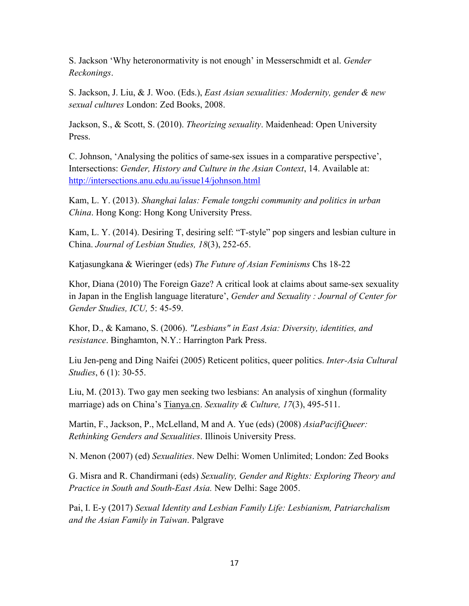S. Jackson 'Why heteronormativity is not enough' in Messerschmidt et al. *Gender Reckonings*.

S. Jackson, J. Liu, & J. Woo. (Eds.), *East Asian sexualities: Modernity, gender & new sexual cultures* London: Zed Books, 2008.

Jackson, S., & Scott, S. (2010). *Theorizing sexuality*. Maidenhead: Open University Press.

C. Johnson, 'Analysing the politics of same-sex issues in a comparative perspective', Intersections: *Gender, History and Culture in the Asian Context*, 14. Available at: <http://intersections.anu.edu.au/issue14/johnson.html>

Kam, L. Y. (2013). *Shanghai lalas: Female tongzhi community and politics in urban China*. Hong Kong: Hong Kong University Press.

Kam, L. Y. (2014). Desiring T, desiring self: "T-style" pop singers and lesbian culture in China. *Journal of Lesbian Studies, 18*(3), 252-65.

Katjasungkana & Wieringer (eds) *The Future of Asian Feminisms* Chs 18-22

Khor, Diana (2010) The Foreign Gaze? A critical look at claims about same-sex sexuality in Japan in the English language literature', *Gender and Sexuality : Journal of Center for Gender Studies, ICU,* 5: 45-59.

Khor, D., & Kamano, S. (2006). *"Lesbians" in East Asia: Diversity, identities, and resistance*. Binghamton, N.Y.: Harrington Park Press.

Liu Jen-peng and Ding Naifei (2005) Reticent politics, queer politics. *Inter-Asia Cultural Studies*, 6 (1): 30-55.

Liu, M. (2013). Two gay men seeking two lesbians: An analysis of xinghun (formality marriage) ads on China's [Tianya.cn.](http://tianya.cn/) *Sexuality & Culture, 17*(3), 495-511.

Martin, F., Jackson, P., McLelland, M and A. Yue (eds) (2008) *AsiaPacifiQueer: Rethinking Genders and Sexualities*. Illinois University Press.

N. Menon (2007) (ed) *Sexualities*. New Delhi: Women Unlimited; London: Zed Books

G. Misra and R. Chandirmani (eds) *Sexuality, Gender and Rights: Exploring Theory and Practice in South and South-East Asia.* New Delhi: Sage 2005.

Pai, I. E-y (2017) *Sexual Identity and Lesbian Family Life: Lesbianism, Patriarchalism and the Asian Family in Taiwan*. Palgrave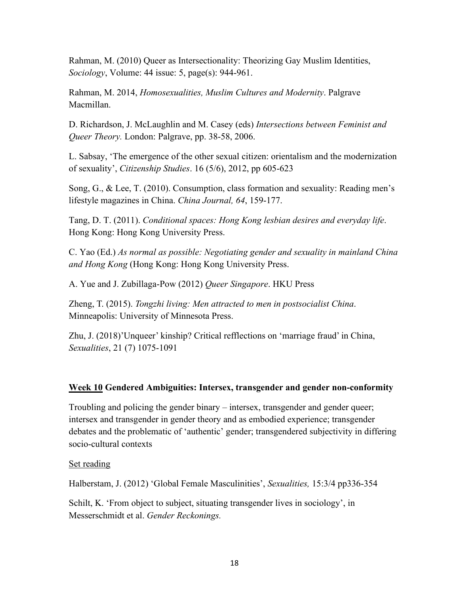Rahman, M. (2010) Queer as Intersectionality: Theorizing Gay Muslim Identities, *Sociology*, Volume: 44 issue: 5, page(s): 944-961.

Rahman, M. 2014, *Homosexualities, Muslim Cultures and Modernity*. Palgrave Macmillan.

D. Richardson, J. McLaughlin and M. Casey (eds) *Intersections between Feminist and Queer Theory.* London: Palgrave, pp. 38-58, 2006.

L. Sabsay, 'The emergence of the other sexual citizen: orientalism and the modernization of sexuality', *Citizenship Studies*. 16 (5/6), 2012, pp 605-623

Song, G., & Lee, T. (2010). Consumption, class formation and sexuality: Reading men's lifestyle magazines in China. *China Journal, 64*, 159-177.

Tang, D. T. (2011). *Conditional spaces: Hong Kong lesbian desires and everyday life*. Hong Kong: Hong Kong University Press.

C. Yao (Ed.) *As normal as possible: Negotiating gender and sexuality in mainland China and Hong Kong* (Hong Kong: Hong Kong University Press.

A. Yue and J. Zubillaga-Pow (2012) *Queer Singapore*. HKU Press

Zheng, T. (2015). *Tongzhi living: Men attracted to men in postsocialist China*. Minneapolis: University of Minnesota Press.

Zhu, J. (2018)'Unqueer' kinship? Critical refflections on 'marriage fraud' in China, *Sexualities*, 21 (7) 1075-1091

## **Week 10 Gendered Ambiguities: Intersex, transgender and gender non-conformity**

Troubling and policing the gender binary – intersex, transgender and gender queer; intersex and transgender in gender theory and as embodied experience; transgender debates and the problematic of 'authentic' gender; transgendered subjectivity in differing socio-cultural contexts

Set reading

Halberstam, J. (2012) 'Global Female Masculinities', *Sexualities,* 15:3/4 pp336-354

Schilt, K. 'From object to subject, situating transgender lives in sociology', in Messerschmidt et al. *Gender Reckonings.*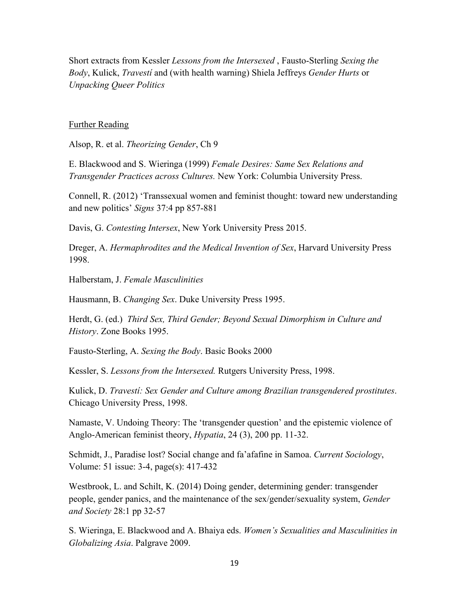Short extracts from Kessler *Lessons from the Intersexed* , Fausto-Sterling *Sexing the Body*, Kulick, *Travestí* and (with health warning) Shiela Jeffreys *Gender Hurts* or *Unpacking Queer Politics*

#### Further Reading

Alsop, R. et al. *Theorizing Gender*, Ch 9

E. Blackwood and S. Wieringa (1999) *Female Desires: Same Sex Relations and Transgender Practices across Cultures.* New York: Columbia University Press.

Connell, R. (2012) 'Transsexual women and feminist thought: toward new understanding and new politics' *Signs* 37:4 pp 857-881

Davis, G. *Contesting Intersex*, New York University Press 2015.

Dreger, A. *Hermaphrodites and the Medical Invention of Sex*, Harvard University Press 1998.

Halberstam, J. *Female Masculinities*

Hausmann, B. *Changing Sex*. Duke University Press 1995.

Herdt, G. (ed.) *Third Sex, Third Gender; Beyond Sexual Dimorphism in Culture and History*. Zone Books 1995.

Fausto-Sterling, A. *Sexing the Body*. Basic Books 2000

Kessler, S. *Lessons from the Intersexed.* Rutgers University Press, 1998.

Kulick, D. *Travestí: Sex Gender and Culture among Brazilian transgendered prostitutes*. Chicago University Press, 1998.

Namaste, V. Undoing Theory: The 'transgender question' and the epistemic violence of Anglo-American feminist theory, *Hypatia*, 24 (3), 200 pp. 11-32.

Schmidt, J., Paradise lost? Social change and fa'afafine in Samoa. *Current Sociology*, Volume: 51 issue: 3-4, page(s): 417-432

Westbrook, L. and Schilt, K. (2014) Doing gender, determining gender: transgender people, gender panics, and the maintenance of the sex/gender/sexuality system, *Gender and Society* 28:1 pp 32-57

S. Wieringa, E. Blackwood and A. Bhaiya eds. *Women's Sexualities and Masculinities in Globalizing Asia*. Palgrave 2009.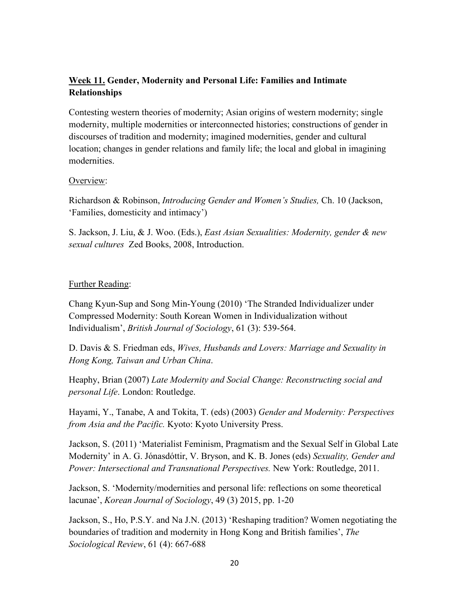# **Week 11. Gender, Modernity and Personal Life: Families and Intimate Relationships**

Contesting western theories of modernity; Asian origins of western modernity; single modernity, multiple modernities or interconnected histories; constructions of gender in discourses of tradition and modernity; imagined modernities, gender and cultural location; changes in gender relations and family life; the local and global in imagining modernities.

### Overview:

Richardson & Robinson, *Introducing Gender and Women's Studies,* Ch. 10 (Jackson, 'Families, domesticity and intimacy')

S. Jackson, J. Liu, & J. Woo. (Eds.), *East Asian Sexualities: Modernity, gender & new sexual cultures* Zed Books, 2008, Introduction.

## Further Reading:

Chang Kyun-Sup and Song Min-Young (2010) 'The Stranded Individualizer under Compressed Modernity: South Korean Women in Individualization without Individualism', *British Journal of Sociology*, 61 (3): 539-564.

D. Davis & S. Friedman eds, *Wives, Husbands and Lovers: Marriage and Sexuality in Hong Kong, Taiwan and Urban China*.

Heaphy, Brian (2007) *Late Modernity and Social Change: Reconstructing social and personal Life*. London: Routledge.

Hayami, Y., Tanabe, A and Tokita, T. (eds) (2003) *Gender and Modernity: Perspectives from Asia and the Pacific.* Kyoto: Kyoto University Press.

Jackson, S. (2011) 'Materialist Feminism, Pragmatism and the Sexual Self in Global Late Modernity' in A. G. Jónasdóttir, V. Bryson, and K. B. Jones (eds) *Sexuality, Gender and Power: Intersectional and Transnational Perspectives.* New York: Routledge, 2011.

Jackson, S. 'Modernity/modernities and personal life: reflections on some theoretical lacunae', *Korean Journal of Sociology*, 49 (3) 2015, pp. 1-20

Jackson, S., Ho, P.S.Y. and Na J.N. (2013) 'Reshaping tradition? Women negotiating the boundaries of tradition and modernity in Hong Kong and British families', *The Sociological Review*, 61 (4): 667-688